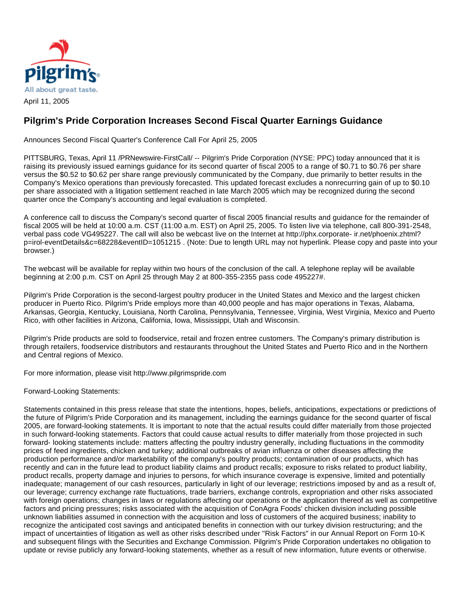

## **Pilgrim's Pride Corporation Increases Second Fiscal Quarter Earnings Guidance**

Announces Second Fiscal Quarter's Conference Call For April 25, 2005

PITTSBURG, Texas, April 11 /PRNewswire-FirstCall/ -- Pilgrim's Pride Corporation (NYSE: PPC) today announced that it is raising its previously issued earnings guidance for its second quarter of fiscal 2005 to a range of \$0.71 to \$0.76 per share versus the \$0.52 to \$0.62 per share range previously communicated by the Company, due primarily to better results in the Company's Mexico operations than previously forecasted. This updated forecast excludes a nonrecurring gain of up to \$0.10 per share associated with a litigation settlement reached in late March 2005 which may be recognized during the second quarter once the Company's accounting and legal evaluation is completed.

A conference call to discuss the Company's second quarter of fiscal 2005 financial results and guidance for the remainder of fiscal 2005 will be held at 10:00 a.m. CST (11:00 a.m. EST) on April 25, 2005. To listen live via telephone, call 800-391-2548, verbal pass code VG495227. The call will also be webcast live on the Internet at http://phx.corporate- ir.net/phoenix.zhtml? p=irol-eventDetails&c=68228&eventID=1051215 . (Note: Due to length URL may not hyperlink. Please copy and paste into your browser.)

The webcast will be available for replay within two hours of the conclusion of the call. A telephone replay will be available beginning at 2:00 p.m. CST on April 25 through May 2 at 800-355-2355 pass code 495227#.

Pilgrim's Pride Corporation is the second-largest poultry producer in the United States and Mexico and the largest chicken producer in Puerto Rico. Pilgrim's Pride employs more than 40,000 people and has major operations in Texas, Alabama, Arkansas, Georgia, Kentucky, Louisiana, North Carolina, Pennsylvania, Tennessee, Virginia, West Virginia, Mexico and Puerto Rico, with other facilities in Arizona, California, Iowa, Mississippi, Utah and Wisconsin.

Pilgrim's Pride products are sold to foodservice, retail and frozen entree customers. The Company's primary distribution is through retailers, foodservice distributors and restaurants throughout the United States and Puerto Rico and in the Northern and Central regions of Mexico.

For more information, please visit http://www.pilgrimspride.com

Forward-Looking Statements:

Statements contained in this press release that state the intentions, hopes, beliefs, anticipations, expectations or predictions of the future of Pilgrim's Pride Corporation and its management, including the earnings guidance for the second quarter of fiscal 2005, are forward-looking statements. It is important to note that the actual results could differ materially from those projected in such forward-looking statements. Factors that could cause actual results to differ materially from those projected in such forward- looking statements include: matters affecting the poultry industry generally, including fluctuations in the commodity prices of feed ingredients, chicken and turkey; additional outbreaks of avian influenza or other diseases affecting the production performance and/or marketability of the company's poultry products; contamination of our products, which has recently and can in the future lead to product liability claims and product recalls; exposure to risks related to product liability, product recalls, property damage and injuries to persons, for which insurance coverage is expensive, limited and potentially inadequate; management of our cash resources, particularly in light of our leverage; restrictions imposed by and as a result of, our leverage; currency exchange rate fluctuations, trade barriers, exchange controls, expropriation and other risks associated with foreign operations; changes in laws or regulations affecting our operations or the application thereof as well as competitive factors and pricing pressures; risks associated with the acquisition of ConAgra Foods' chicken division including possible unknown liabilities assumed in connection with the acquisition and loss of customers of the acquired business; inability to recognize the anticipated cost savings and anticipated benefits in connection with our turkey division restructuring; and the impact of uncertainties of litigation as well as other risks described under "Risk Factors" in our Annual Report on Form 10-K and subsequent filings with the Securities and Exchange Commission. Pilgrim's Pride Corporation undertakes no obligation to update or revise publicly any forward-looking statements, whether as a result of new information, future events or otherwise.